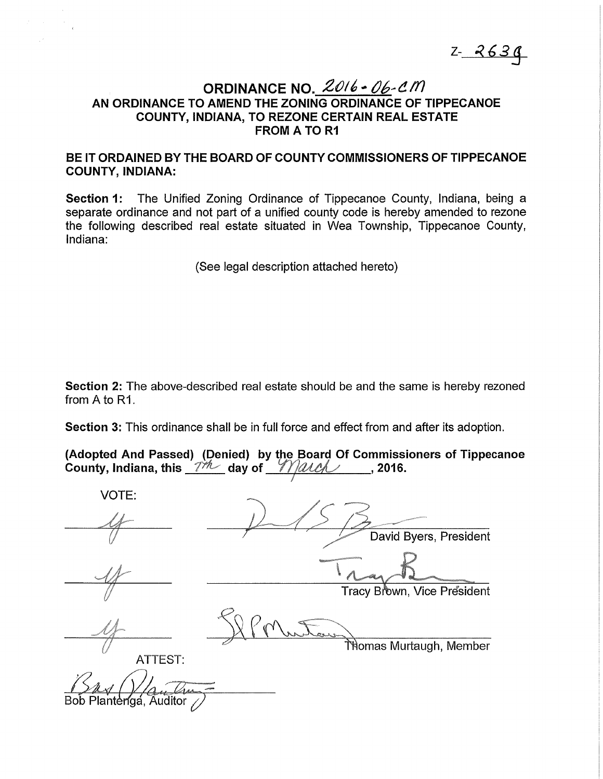$Z - 2630$ 

# ORDINANCE NO.  $2016 - 06 - CM$ AN ORDINANCE TO AMEND THE ZONING ORDINANCE OF TIPPECANOE COUNTY, INDIANA, TO REZONE CERTAIN REAL ESTATE FROM A TO R1

## BE IT ORDAINED BY THE BOARD OF COUNTY COMMISSIONERS OF TIPPECANOE COUNTY, INDIANA:

Section 1: The Unified Zoning Ordinance of Tippecanoe County, Indiana, being a separate ordinance and not part of a unified county code is hereby amended to rezone the following described real estate situated in Wea Township, Tippecanoe County, Indiana:

(See legal description attached hereto)

Section 2: The above-described real estate should be and the same is hereby rezoned from A to R1.

Section 3: This ordinance shall be in full force and effect from and after its adoption.

| (Adopted And Passed) (Denied) by the Board Of Commissioners of Tippecanoe<br>County, Indiana, this _7*/\/___day of __ <i>_{\\ QA_C</i> ______, 2016. |  |  |  |
|------------------------------------------------------------------------------------------------------------------------------------------------------|--|--|--|
|                                                                                                                                                      |  |  |  |

VOTE: David Byers, President Tracv Brown. Vice President ोत्तेomas Murtaugh, Member ATIEST: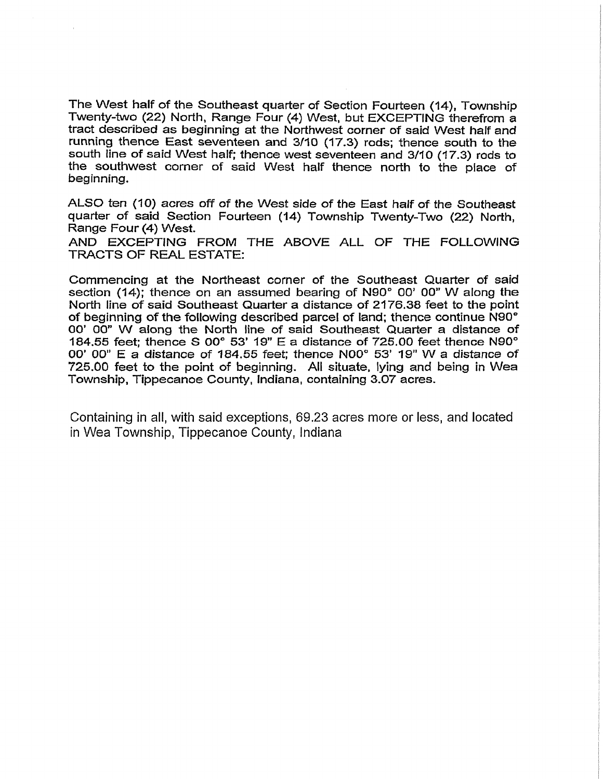The West half of the Southeast quarter of Section Fourteen (14), Township Twenty-two (22) North, Range Four (4) West, but EXCEPTING therefrom a tract described as beginning at the Northwest corner of said West half and running thence East seventeen and 3/10 (17.3) rods; thence south to the south line of said West half; thence west seventeen and 3/10 (17.3) rods to the southwest corner of said West half thence north to the place of beginning.

ALSO ten (10) acres off of the West side of the East half of the Southeast quarter of said Section Fourteen (14) Township Twenty-Two (22) North, Range Four (4) West.

AND EXCEPTING FROM THE ABOVE ALL OF THE FOLLOWING TRACTS OF REAL ESTATE:

Commencing at the Northeast corner of the Southeast Quarter of said section (14); thence on an assumed bearing of N90° 00' 00" W along the North line of said Southeast Quarter a distance of 2176.38 feet to the point of beginning of the following described parcel of land; thence continue N90° 00' 00" W along the North line of said Southeast Quarter a distance of 184.55 feet; thence S 00° 53' 19" E a distance of 725.00 feet thence N90° 00' 00" E a distance of 184.55 feet; thence N00° 53' 19" W a distance of 725.00 feet to the point of beginning. All situate, lying and being in Wea Township, Tippecanoe County, Indiana, containing 3.07 acres.

Containing in all, with said exceptions, 69.23 acres more or less, and located in Wea Township, Tippecanoe County, Indiana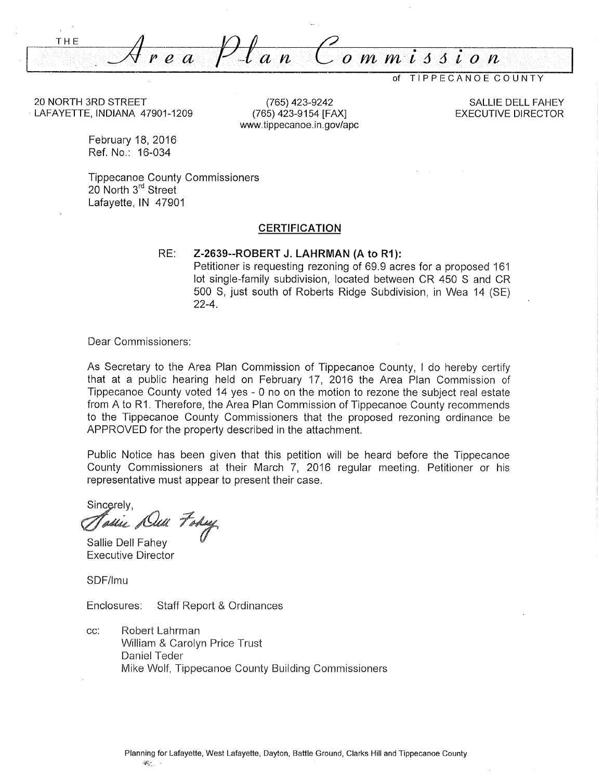THE *ea Plan e-ommiJJion* 

TIPPECANOE COUNTY

20 NORTH 3RD STREET LAFAYETTE, INDIANA 47901-1209

(765) 423-9242 (765) 423-9154 [FAX] www.tippecanoe.in.gov/apc

SALLIE DELL FAHEY EXECUTIVE DIRECTOR

February 18, 2016 Ref. No.: 16-034

Tippecanoe County Commissioners 20 North 3<sup>rd</sup> Street Lafayette, IN 47901

#### **CERTIFICATION**

RE: **Z-2639--ROBERT J. LAHRMAN (A to R1** ):

Petitioner is requesting rezoning of 69.9 acres for a proposed 161 lot single-family subdivision, located between CR 450 S and CR 500 S, just south of Roberts Ridge Subdivision, in Wea 14 (SE) 22-4.

Dear Commissioners:

As Secretary to the Area Plan Commission of Tippecanoe County, I do hereby certify that at a public hearing held on February 17, 2016 the Area Plan Commission of Tippecanoe County voted 14 yes - 0 no on the motion to rezone the subject real estate from A to R1. Therefore, the Area Plan Commission of Tippecanoe County recommends to the Tippecanoe County Commissioners that the proposed rezoning ordinance be APPROVED for the property described in the attachment.

Public Notice has been given that this petition will be heard before the Tippecanoe County Commissioners at their March 7, 2016 regular meeting. Petitioner or his representative must appear to present their case.

Sincerely. anie Dell Fody

Sallie Dell Fahey Executive Director

SDF/lmu

Enclosures: Staff Report & Ordinances

cc: Robert Lahrman William & Carolyn Price Trust Daniel Teder Mike Wolf, Tippecanoe County Building Commissioners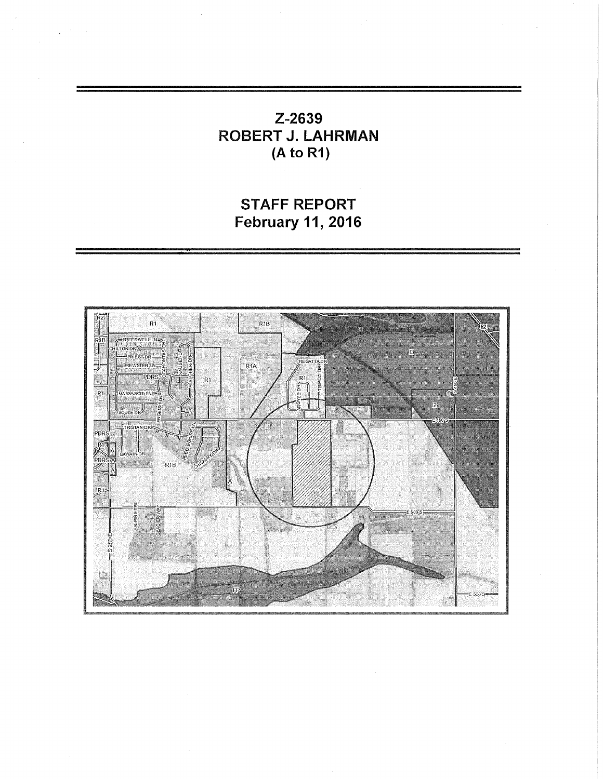Z-2639 ROBERT J. LAHRMAN (A to R1)

STAFF REPORT February 11, 2016

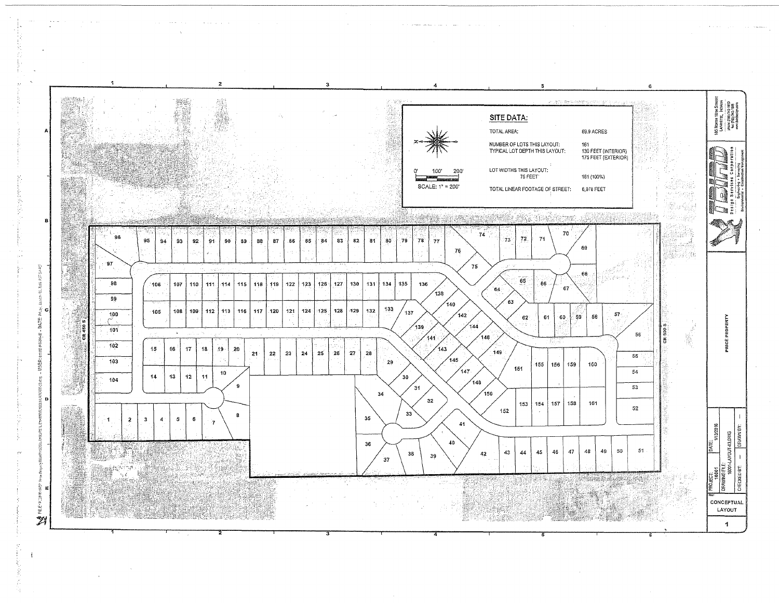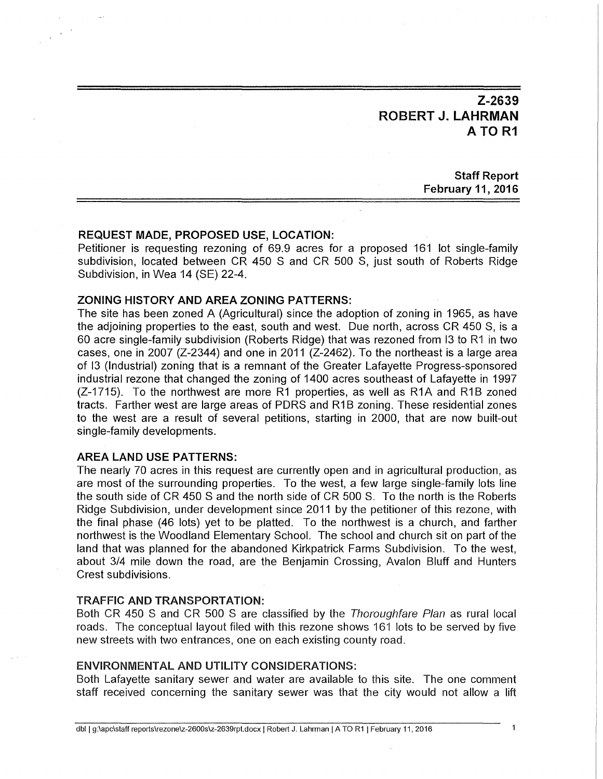**Z-2639 ROBERT J. LAHRMAN ATOR1** 

> **Staff Report February 11, 2016**

### **REQUEST MADE, PROPOSED USE, LOCATION:**

Petitioner is requesting rezoning of 69.9 acres for a proposed 161 lot single-family subdivision, located between CR 450 S and CR 500 S, just south of Roberts Ridge Subdivision, in Wea 14 (SE) 22-4.

## **ZONING HISTORY AND AREA ZONING PATTERNS:**

The site has been zoned A (Agricultural) since the adoption of zoning in 1965, as have the adjoining properties to the east, south and west. Due north, across CR 450 S, is a 60 acre single-family subdivision (Roberts Ridge) that was rezoned from 13 to R1 in two cases, one in 2007 (Z-2344) and one in 2011 (Z-2462). To the northeast is a large area of 13 (Industrial) zoning that is a remnant of the Greater Lafayette Progress-sponsored industrial rezone that changed the zoning of 1400 acres southeast of Lafayette in 1997  $(Z-1715)$ . To the northwest are more R1 properties, as well as R1A and R1B zoned tracts. Farther west are large areas of PDRS and R1B zoning. These residential zones to the west are a result of several petitions, starting in 2000, that are now built-out single-family developments.

#### **AREA LAND USE PATTERNS:**

The nearly 70 acres in this request are currently open and in agricultural production, as are most of the surrounding properties. To the west, a few large single-family lots line the south side of CR 450 S and the north side of CR 500 S. To the north is the Roberts Ridge Subdivision, under development since 2011 by the petitioner of this rezone, with the final phase (46 lots) yet to be platted. To the northwest is a church, and farther northwest is the Woodland Elementary School. The school and church sit on part of the land that was planned for the abandoned Kirkpatrick Farms Subdivision. To the west, about 3/4 mile down the road, are the Benjamin Crossing, Avalon Bluff and Hunters Crest subdivisions.

#### TRAFFIC AND TRANSPORTATION:

Both CR 450 S and CR 500 S are classified by the Thoroughfare Plan as rural local roads. The conceptual layout filed with this rezone shows 161 lots to be served by five new streets with two entrances, one on each existing county road.

### ENVIRONMENTAL AND UTILITY CONSIDERATIONS:

Both Lafayette sanitary sewer and water are available to this site. The one comment staff received concerning the sanitary sewer was that the city would not allow a lift

 $\ddot{\mathbf{1}}$